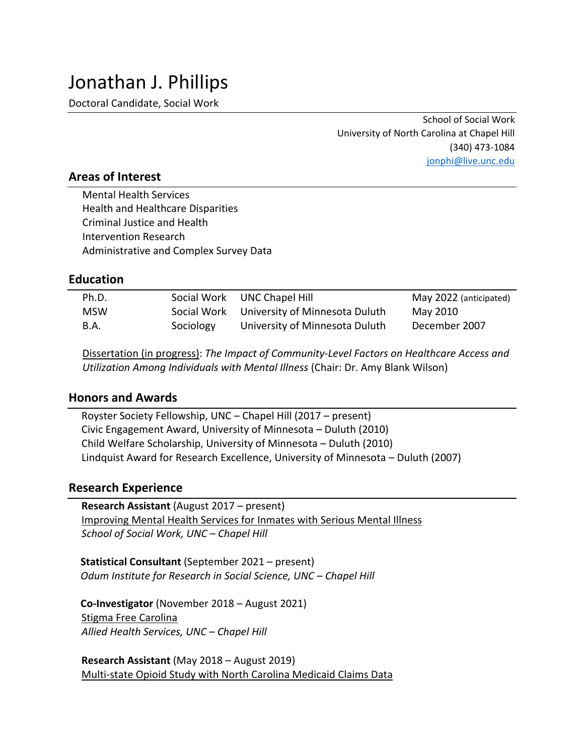Doctoral Candidate, Social Work

School of Social Work University of North Carolina at Chapel Hill (340) 473-1084 [jonphi@live.unc.edu](mailto:jonphi@live.unc.edu)

# **Areas of Interest**

Mental Health Services Health and Healthcare Disparities Criminal Justice and Health Intervention Research Administrative and Complex Survey Data

### **Education**

| Ph.D.       |           | Social Work UNC Chapel Hill                | May 2022 (anticipated) |
|-------------|-----------|--------------------------------------------|------------------------|
| <b>MSW</b>  |           | Social Work University of Minnesota Duluth | May 2010               |
| <b>B.A.</b> | Sociology | University of Minnesota Duluth             | December 2007          |

Dissertation (in progress): *The Impact of Community-Level Factors on Healthcare Access and Utilization Among Individuals with Mental Illness* (Chair: Dr. Amy Blank Wilson)

#### **Honors and Awards**

 Royster Society Fellowship, UNC – Chapel Hill (2017 – present) Civic Engagement Award, University of Minnesota – Duluth (2010) Child Welfare Scholarship, University of Minnesota – Duluth (2010) Lindquist Award for Research Excellence, University of Minnesota – Duluth (2007)

#### **Research Experience**

 **Research Assistant** (August 2017 – present) Improving Mental Health Services for Inmates with Serious Mental Illness *School of Social Work, UNC – Chapel Hill*

**Statistical Consultant** (September 2021 – present) *Odum Institute for Research in Social Science, UNC – Chapel Hill* 

**Co-Investigator** (November 2018 – August 2021) Stigma Free Carolina *Allied Health Services, UNC – Chapel Hill*

 **Research Assistant** (May 2018 – August 2019) Multi-state Opioid Study with North Carolina Medicaid Claims Data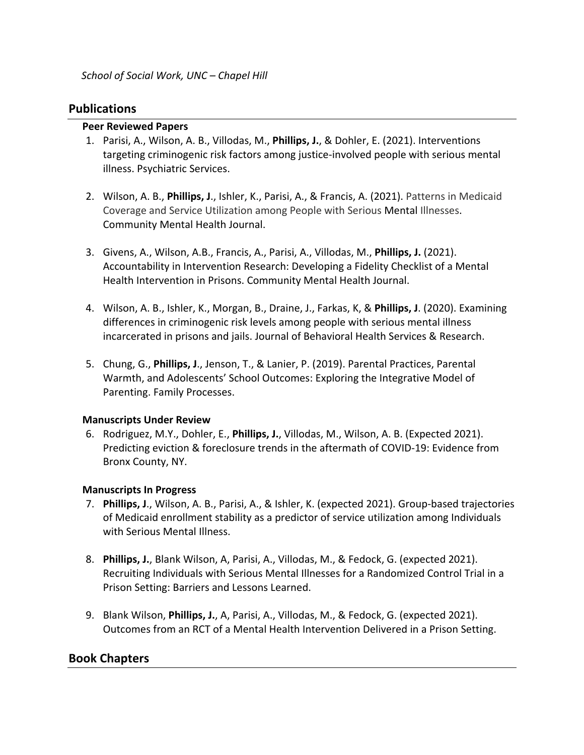### **Publications**

#### **Peer Reviewed Papers**

- 1. Parisi, A., Wilson, A. B., Villodas, M., **Phillips, J.**, & Dohler, E. (2021). Interventions targeting criminogenic risk factors among justice-involved people with serious mental illness. Psychiatric Services.
- 2. Wilson, A. B., **Phillips, J**., Ishler, K., Parisi, A., & Francis, A. (2021). Patterns in Medicaid Coverage and Service Utilization among People with Serious Mental Illnesses. Community Mental Health Journal.
- 3. Givens, A., Wilson, A.B., Francis, A., Parisi, A., Villodas, M., **Phillips, J.** (2021). Accountability in Intervention Research: Developing a Fidelity Checklist of a Mental Health Intervention in Prisons. Community Mental Health Journal.
- 4. Wilson, A. B., Ishler, K., Morgan, B., Draine, J., Farkas, K, & **Phillips, J**. (2020). Examining differences in criminogenic risk levels among people with serious mental illness incarcerated in prisons and jails. Journal of Behavioral Health Services & Research.
- 5. Chung, G., **Phillips, J**., Jenson, T., & Lanier, P. (2019). Parental Practices, Parental Warmth, and Adolescents' School Outcomes: Exploring the Integrative Model of Parenting. Family Processes.

#### **Manuscripts Under Review**

6. Rodriguez, M.Y., Dohler, E., **Phillips, J.**, Villodas, M., Wilson, A. B. (Expected 2021). Predicting eviction & foreclosure trends in the aftermath of COVID-19: Evidence from Bronx County, NY.

#### **Manuscripts In Progress**

- 7. **Phillips, J**., Wilson, A. B., Parisi, A., & Ishler, K. (expected 2021). Group-based trajectories of Medicaid enrollment stability as a predictor of service utilization among Individuals with Serious Mental Illness.
- 8. **Phillips, J.**, Blank Wilson, A, Parisi, A., Villodas, M., & Fedock, G. (expected 2021). Recruiting Individuals with Serious Mental Illnesses for a Randomized Control Trial in a Prison Setting: Barriers and Lessons Learned.
- 9. Blank Wilson, **Phillips, J.**, A, Parisi, A., Villodas, M., & Fedock, G. (expected 2021). Outcomes from an RCT of a Mental Health Intervention Delivered in a Prison Setting.

### **Book Chapters**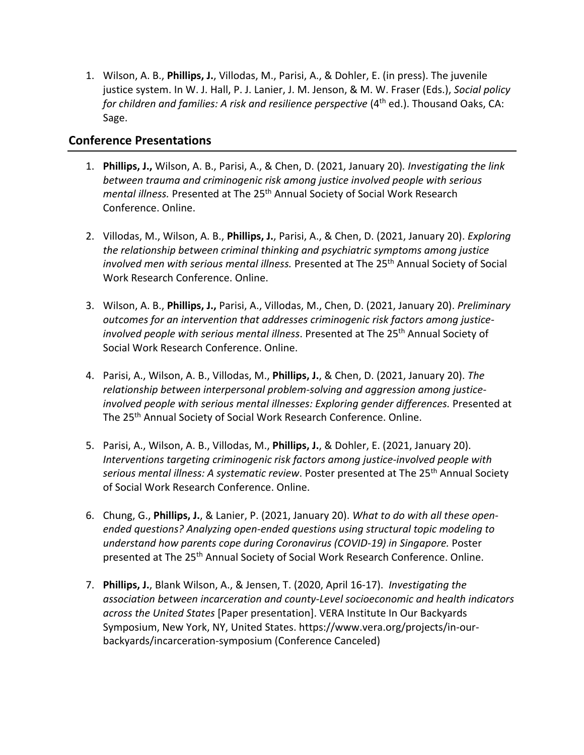1. Wilson, A. B., **Phillips, J.**, Villodas, M., Parisi, A., & Dohler, E. (in press). The juvenile justice system. In W. J. Hall, P. J. Lanier, J. M. Jenson, & M. W. Fraser (Eds.), *Social policy for children and families: A risk and resilience perspective* (4<sup>th</sup> ed.). Thousand Oaks, CA: Sage.

## **Conference Presentations**

- 1. **Phillips, J.,** Wilson, A. B., Parisi, A., & Chen, D. (2021, January 20)*. Investigating the link between trauma and criminogenic risk among justice involved people with serious mental illness.* Presented at The 25th Annual Society of Social Work Research Conference. Online.
- 2. Villodas, M., Wilson, A. B., **Phillips, J.**, Parisi, A., & Chen, D. (2021, January 20). *Exploring the relationship between criminal thinking and psychiatric symptoms among justice involved men with serious mental illness.* Presented at The 25<sup>th</sup> Annual Society of Social Work Research Conference. Online.
- 3. Wilson, A. B., **Phillips, J.,** Parisi, A., Villodas, M., Chen, D. (2021, January 20). *Preliminary outcomes for an intervention that addresses criminogenic risk factors among justiceinvolved people with serious mental illness*. Presented at The 25th Annual Society of Social Work Research Conference. Online.
- 4. Parisi, A., Wilson, A. B., Villodas, M., **Phillips, J.**, & Chen, D. (2021, January 20). *The relationship between interpersonal problem-solving and aggression among justiceinvolved people with serious mental illnesses: Exploring gender differences.* Presented at The 25<sup>th</sup> Annual Society of Social Work Research Conference. Online.
- 5. Parisi, A., Wilson, A. B., Villodas, M., **Phillips, J.**, & Dohler, E. (2021, January 20). *Interventions targeting criminogenic risk factors among justice-involved people with serious mental illness: A systematic review*. Poster presented at The 25th Annual Society of Social Work Research Conference. Online.
- 6. Chung, G., **Phillips, J.**, & Lanier, P. (2021, January 20). *What to do with all these openended questions? Analyzing open-ended questions using structural topic modeling to understand how parents cope during Coronavirus (COVID-19) in Singapore.* Poster presented at The 25<sup>th</sup> Annual Society of Social Work Research Conference. Online.
- 7. **Phillips, J.**, Blank Wilson, A., & Jensen, T. (2020, April 16-17). *Investigating the association between incarceration and county-Level socioeconomic and health indicators across the United States* [Paper presentation]. VERA Institute In Our Backyards Symposium, New York, NY, United States. https://www.vera.org/projects/in-ourbackyards/incarceration-symposium (Conference Canceled)